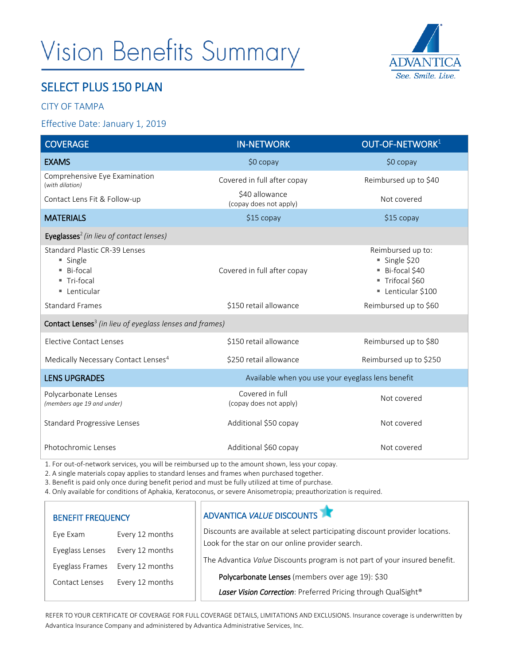# **Vision Benefits Summary**



## SELECT PLUS 150 PLAN

### CITY OF TAMPA

#### Effective Date: January 1, 2019

| <b>COVERAGE</b>                                                                      | <b>IN-NETWORK</b>                                 | OUT-OF-NETWORK <sup>1</sup>                                                            |  |  |  |  |
|--------------------------------------------------------------------------------------|---------------------------------------------------|----------------------------------------------------------------------------------------|--|--|--|--|
| <b>EXAMS</b>                                                                         | $$0$ copay                                        | $$0$ copay                                                                             |  |  |  |  |
| Comprehensive Eye Examination<br>(with dilation)                                     | Covered in full after copay                       | Reimbursed up to \$40                                                                  |  |  |  |  |
| Contact Lens Fit & Follow-up                                                         | \$40 allowance<br>(copay does not apply)          | Not covered                                                                            |  |  |  |  |
| <b>MATERIALS</b>                                                                     | $$15$ copay                                       | \$15 copay                                                                             |  |  |  |  |
| Eyeglasses <sup>2</sup> (in lieu of contact lenses)                                  |                                                   |                                                                                        |  |  |  |  |
| Standard Plastic CR-39 Lenses<br>■ Single<br>■ Bi-focal<br>■ Tri-focal<br>Lenticular | Covered in full after copay                       | Reimbursed up to:<br>Single \$20<br>Bi-focal \$40<br>Trifocal \$60<br>Lenticular \$100 |  |  |  |  |
| <b>Standard Frames</b>                                                               | \$150 retail allowance                            | Reimbursed up to \$60                                                                  |  |  |  |  |
| <b>Contact Lenses</b> <sup>3</sup> (in lieu of eyeglass lenses and frames)           |                                                   |                                                                                        |  |  |  |  |
| Elective Contact Lenses                                                              | \$150 retail allowance                            | Reimbursed up to \$80                                                                  |  |  |  |  |
| Medically Necessary Contact Lenses <sup>4</sup>                                      | \$250 retail allowance                            | Reimbursed up to \$250                                                                 |  |  |  |  |
| <b>LENS UPGRADES</b>                                                                 | Available when you use your eyeglass lens benefit |                                                                                        |  |  |  |  |
| Polycarbonate Lenses<br>(members age 19 and under)                                   | Covered in full<br>(copay does not apply)         | Not covered                                                                            |  |  |  |  |
| <b>Standard Progressive Lenses</b>                                                   | Additional \$50 copay                             | Not covered                                                                            |  |  |  |  |
| Photochromic Lenses                                                                  | Additional \$60 copay                             | Not covered                                                                            |  |  |  |  |

1. For out-of-network services, you will be reimbursed up to the amount shown, less your copay.

2. A single materials copay applies to standard lenses and frames when purchased together.

3. Benefit is paid only once during benefit period and must be fully utilized at time of purchase.

4. Only available for conditions of Aphakia, Keratoconus, or severe Anisometropia; preauthorization is required.

| <b>BENEFIT FREQUENCY</b> |                 | ADVANTICA VALUE DISCOUNTS                                                                                                                                                                                                                                                                                                           |  |
|--------------------------|-----------------|-------------------------------------------------------------------------------------------------------------------------------------------------------------------------------------------------------------------------------------------------------------------------------------------------------------------------------------|--|
| Eye Exam                 | Every 12 months | Discounts are available at select participating discount provider locations.<br>Look for the star on our online provider search.<br>The Advantica Value Discounts program is not part of your insured benefit.<br>Polycarbonate Lenses (members over age 19): \$30<br>Laser Vision Correction: Preferred Pricing through QualSight® |  |
| Eyeglass Lenses          | Every 12 months |                                                                                                                                                                                                                                                                                                                                     |  |
| Eyeglass Frames          | Every 12 months |                                                                                                                                                                                                                                                                                                                                     |  |
| Contact Lenses           | Every 12 months |                                                                                                                                                                                                                                                                                                                                     |  |
|                          |                 |                                                                                                                                                                                                                                                                                                                                     |  |

REFER TO YOUR CERTIFICATE OF COVERAGE FOR FULL COVERAGE DETAILS, LIMITATIONS AND EXCLUSIONS. Insurance coverage is underwritten by Advantica Insurance Company and administered by Advantica Administrative Services, Inc.